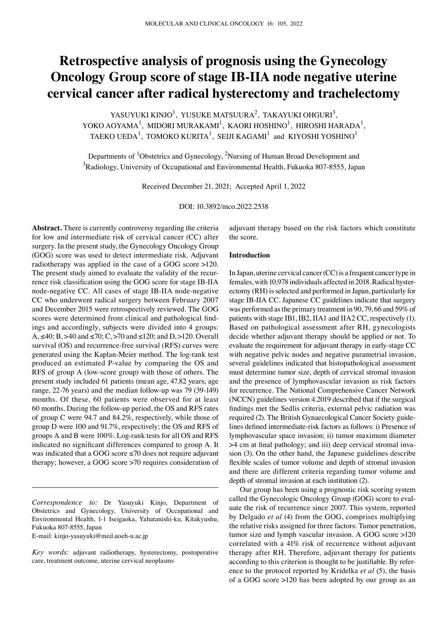# **Retrospective analysis of prognosis using the Gynecology Oncology Group score of stage IB‑IIA node negative uterine cervical cancer after radical hysterectomy and trachelectomy**

YASUYUKI KINJO<sup>1</sup>, YUSUKE MATSUURA<sup>2</sup>, TAKAYUKI OHGURI<sup>3</sup>, YOKO AOYAMA<sup>1</sup>, MIDORI MURAKAMI<sup>1</sup>, KAORI HOSHINO<sup>1</sup>, HIROSHI HARADA<sup>1</sup>, TAEKO UEDA $^1$ , TOMOKO KURITA $^1$ , SEIJI KAGAMI $^1$  and KIYOSHI YOSHINO $^1$ 

Departments of <sup>1</sup>Obstetrics and Gynecology, <sup>2</sup>Nursing of Human Broad Development and  $^3$ Radiology, University of Occupational and Environmental Health, Fukuoka 807-8555, Japan

Received December 21, 2021; Accepted April 1, 2022

DOI: 10.3892/mco.2022.2538

**Abstract.** There is currently controversy regarding the criteria for low and intermediate risk of cervical cancer (CC) after surgery. In the present study, the Gynecology Oncology Group (GOG) score was used to detect intermediate risk. Adjuvant radiotherapy was applied in the case of a GOG score >120. The present study aimed to evaluate the validity of the recurrence risk classification using the GOG score for stage IB‑IIA node‑negative CC. All cases of stage IB‑IIA node‑negative CC who underwent radical surgery between February 2007 and December 2015 were retrospectively reviewed. The GOG scores were determined from clinical and pathological findings and accordingly, subjects were divided into 4 groups: A, ≤40; B, >40 and ≤70; C, >70 and ≤120; and D, >120. Overall survival (OS) and recurrence-free survival (RFS) curves were generated using the Kaplan-Meier method. The log-rank test produced an estimated P‑value by comparing the OS and RFS of group A (low‑score group) with those of others. The present study included 61 patients (mean age, 47.82 years; age range, 22-76 years) and the median follow-up was 79 (39-149) months. Of these, 60 patients were observed for at least 60 months. During the follow‑up period, the OS and RFS rates of group C were 94.7 and 84.2%, respectively, while those of group D were 100 and 91.7%, respectively; the OS and RFS of groups A and B were 100%. Log‑rank tests for all OS and RFS indicated no significant differences compared to group A. It was indicated that a GOG score ≤70 does not require adjuvant therapy; however, a GOG score >70 requires consideration of

E‑mail: kinjo‑yasuyuki@med.uoeh‑u.ac.jp

adjuvant therapy based on the risk factors which constitute the score.

#### **Introduction**

In Japan, uterine cervical cancer (CC) is a frequent cancer type in females, with 10,978 individuals affected in 2018. Radical hysterectomy (RH) is selected and performed in Japan, particularly for stage IB‑IIA CC. Japanese CC guidelines indicate that surgery was performed as the primary treatment in 90, 79, 66 and 59% of patients with stage IB1, IB2, IIA1 and IIA2 CC, respectively (1). Based on pathological assessment after RH, gynecologists decide whether adjuvant therapy should be applied or not. To evaluate the requirement for adjuvant therapy in early‑stage CC with negative pelvic nodes and negative parametrial invasion, several guidelines indicated that histopathological assessment must determine tumor size, depth of cervical stromal invasion and the presence of lymphovascular invasion as risk factors for recurrence. The National Comprehensive Cancer Network (NCCN) guidelines version 4.2019 described that if the surgical findings met the Sedlis criteria, external pelvic radiation was required (2). The British Gynaecological Cancer Society guidelines defined intermediate‑risk factors as follows: i) Presence of lymphovascular space invasion; ii) tumor maximum diameter >4 cm at final pathology; and iii) deep cervical stromal invasion (3). On the other hand, the Japanese guidelines describe flexible scales of tumor volume and depth of stromal invasion and there are different criteria regarding tumor volume and depth of stromal invasion at each institution (2).

Our group has been using a prognostic risk scoring system called the Gynecologic Oncology Group (GOG) score to evaluate the risk of recurrence since 2007. This system, reported by Delgado *et al* (4) from the GOG, comprises multiplying the relative risks assigned for three factors: Tumor penetration, tumor size and lymph vascular invasion. A GOG score >120 correlated with a 41% risk of recurrence without adjuvant therapy after RH. Therefore, adjuvant therapy for patients according to this criterion is thought to be justifiable. By reference to the protocol reported by Kridelka *et al* (5), the basis of a GOG score >120 has been adopted by our group as an

*Correspondence to:* Dr Yasuyuki Kinjo, Department of Obstetrics and Gynecology, University of Occupational and Environmental Health, 1‑1 Iseigaoka, Yahatanishi‑ku, Kitakyushu, Fukuoka 807‑8555, Japan

*Key words:* adjuvant radiotherapy, hysterectomy, postoperative care, treatment outcome, uterine cervical neoplasms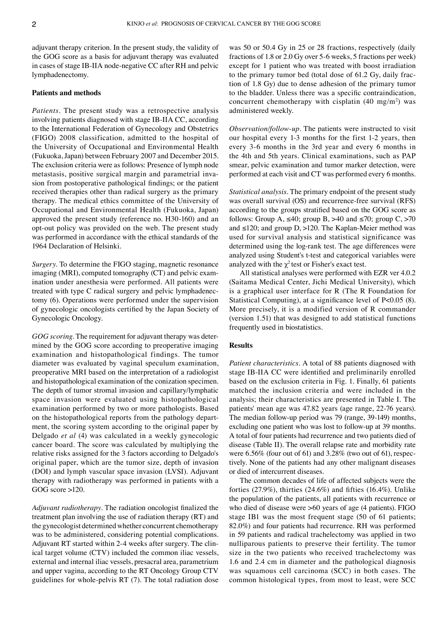adjuvant therapy criterion. In the present study, the validity of the GOG score as a basis for adjuvant therapy was evaluated in cases of stage IB‑IIA node‑negative CC after RH and pelvic lymphadenectomy.

#### **Patients and methods**

*Patients.* The present study was a retrospective analysis involving patients diagnosed with stage IB‑IIA CC, according to the International Federation of Gynecology and Obstetrics (FIGO) 2008 classification, admitted to the hospital of the University of Occupational and Environmental Health (Fukuoka, Japan) between February 2007 and December 2015. The exclusion criteria were as follows: Presence of lymph node metastasis, positive surgical margin and parametrial invasion from postoperative pathological findings; or the patient received therapies other than radical surgery as the primary therapy. The medical ethics committee of the University of Occupational and Environmental Health (Fukuoka, Japan) approved the present study (reference no. H30‑160) and an opt‑out policy was provided on the web. The present study was performed in accordance with the ethical standards of the 1964 Declaration of Helsinki.

*Surgery.* To determine the FIGO staging, magnetic resonance imaging (MRI), computed tomography (CT) and pelvic examination under anesthesia were performed. All patients were treated with type C radical surgery and pelvic lymphadenectomy (6). Operations were performed under the supervision of gynecologic oncologists certified by the Japan Society of Gynecologic Oncology.

GOG scoring. The requirement for adjuvant therapy was determined by the GOG score according to preoperative imaging examination and histopathological findings. The tumor diameter was evaluated by vaginal speculum examination, preoperative MRI based on the interpretation of a radiologist and histopathological examination of the conization specimen. The depth of tumor stromal invasion and capillary/lymphatic space invasion were evaluated using histopathological examination performed by two or more pathologists. Based on the histopathological reports from the pathology depart– ment, the scoring system according to the original paper by Delgado *et al* (4) was calculated in a weekly gynecologic cancer board. The score was calculated by multiplying the relative risks assigned for the 3 factors according to Delgado's original paper, which are the tumor size, depth of invasion (DOI) and lymph vascular space invasion (LVSI). Adjuvant therapy with radiotherapy was performed in patients with a GOG score >120.

*Adjuvant radiotherapy.* The radiation oncologist finalized the treatment plan involving the use of radiation therapy (RT) and the gynecologist determined whether concurrent chemotherapy was to be administered, considering potential complications. Adjuvant RT started within 2-4 weeks after surgery. The clinical target volume (CTV) included the common iliac vessels, external and internal iliac vessels, presacral area, parametrium and upper vagina, according to the RT Oncology Group CTV guidelines for whole‑pelvis RT (7). The total radiation dose

was 50 or 50.4 Gy in 25 or 28 fractions, respectively (daily fractions of 1.8 or 2.0 Gy over 5‑6 weeks, 5 fractions per week) except for 1 patient who was treated with boost irradiation to the primary tumor bed (total dose of 61.2 Gy, daily fraction of 1.8 Gy) due to dense adhesion of the primary tumor to the bladder. Unless there was a specific contraindication, concurrent chemotherapy with cisplatin  $(40 \text{ mg/m}^2)$  was administered weekly.

*Observation/follow‑up.* The patients were instructed to visit our hospital every 1‑3 months for the first 1‑2 years, then every 3‑6 months in the 3rd year and every 6 months in the 4th and 5th years. Clinical examinations, such as PAP smear, pelvic examination and tumor marker detection, were performed at each visit and CT was performed every 6 months.

*Statistical analysis.* The primary endpoint of the present study was overall survival (OS) and recurrence-free survival (RFS) according to the groups stratified based on the GOG score as follows: Group A,  $\leq 40$ ; group B,  $>40$  and  $\leq 70$ ; group C,  $>70$ and  $\leq$ 120; and group D,  $>$ 120. The Kaplan–Meier method was used for survival analysis and statistical significance was determined using the log-rank test. The age differences were analyzed using Student's t‑test and categorical variables were analyzed with the  $\chi^2$  test or Fisher's exact test.

All statistical analyses were performed with EZR ver 4.0.2 (Saitama Medical Center, Jichi Medical University), which is a graphical user interface for R (The R Foundation for Statistical Computing), at a significance level of P<0.05 (8). More precisely, it is a modified version of R commander (version 1.51) that was designed to add statistical functions frequently used in biostatistics.

#### **Results**

*Patient characteristics.* A total of 88 patients diagnosed with stage IB‑IIA CC were identified and preliminarily enrolled based on the exclusion criteria in Fig. 1. Finally, 61 patients matched the inclusion criteria and were included in the analysis; their characteristics are presented in Table I. The patients' mean age was 47.82 years (age range, 22‑76 years). The median follow-up period was 79 (range, 39-149) months, excluding one patient who was lost to follow-up at 39 months. A total of four patients had recurrence and two patients died of disease (Table II). The overall relapse rate and morbidity rate were 6.56% (four out of 61) and 3.28% (two out of 61), respectively. None of the patients had any other malignant diseases or died of intercurrent diseases.

The common decades of life of affected subjects were the forties (27.9%), thirties (24.6%) and fifties (16.4%). Unlike the population of the patients, all patients with recurrence or who died of disease were >60 years of age (4 patients). FIGO stage IB1 was the most frequent stage (50 of 61 patients; 82.0%) and four patients had recurrence. RH was performed in 59 patients and radical trachelectomy was applied in two nulliparous patients to preserve their fertility. The tumor size in the two patients who received trachelectomy was 1.6 and 2.4 cm in diameter and the pathological diagnosis was squamous cell carcinoma (SCC) in both cases. The common histological types, from most to least, were SCC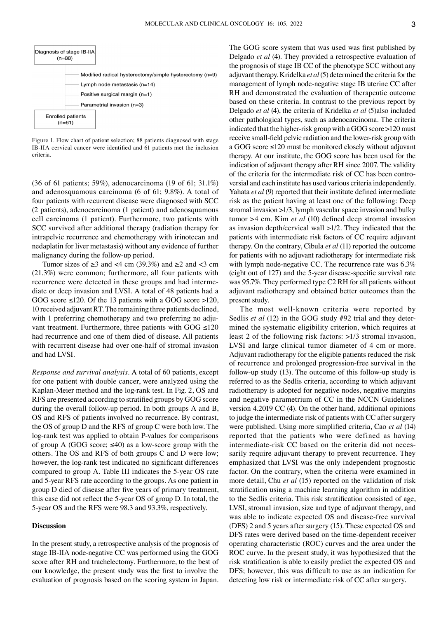

Figure 1. Flow chart of patient selection; 88 patients diagnosed with stage IB‑IIA cervical cancer were identified and 61 patients met the inclusion criteria.

(36 of 61 patients; 59%), adenocarcinoma (19 of 61; 31.1%) and adenosquamous carcinoma (6 of 61; 9.8%). A total of four patients with recurrent disease were diagnosed with SCC (2 patients), adenocarcinoma (1 patient) and adenosquamous cell carcinoma (1 patient). Furthermore, two patients with SCC survived after additional therapy (radiation therapy for intrapelvic recurrence and chemotherapy with irinotecan and nedaplatin for liver metastasis) without any evidence of further malignancy during the follow‑up period.

Tumor sizes of  $\geq 3$  and <4 cm (39.3%) and  $\geq 2$  and <3 cm (21.3%) were common; furthermore, all four patients with recurrence were detected in these groups and had intermediate or deep invasion and LVSI. A total of 48 patients had a GOG score ≤120. Of the 13 patients with a GOG score >120, 10 received adjuvant RT. The remaining three patients declined, with 1 preferring chemotherapy and two preferring no adjuvant treatment. Furthermore, three patients with GOG ≤120 had recurrence and one of them died of disease. All patients with recurrent disease had over one-half of stromal invasion and had LVSI.

*Response and survival analysis.* A total of 60 patients, except for one patient with double cancer, were analyzed using the Kaplan–Meier method and the log-rank test. In Fig. 2, OS and RFS are presented according to stratified groups by GOG score during the overall follow-up period. In both groups A and B, OS and RFS of patients involved no recurrence. By contrast, the OS of group D and the RFS of group C were both low. The log-rank test was applied to obtain P-values for comparisons of group A (GOG score;  $\leq 40$ ) as a low-score group with the others. The OS and RFS of both groups C and D were low; however, the log-rank test indicated no significant differences compared to group A. Table III indicates the 5‑year OS rate and 5‑year RFS rate according to the groups. As one patient in group D died of disease after five years of primary treatment, this case did not reflect the 5‑year OS of group D. In total, the 5‑year OS and the RFS were 98.3 and 93.3%, respectively.

## **Discussion**

In the present study, a retrospective analysis of the prognosis of stage IB‑IIA node‑negative CC was performed using the GOG score after RH and trachelectomy. Furthermore, to the best of our knowledge, the present study was the first to involve the evaluation of prognosis based on the scoring system in Japan. The GOG score system that was used was first published by Delgado *et al* (4). They provided a retrospective evaluation of the prognosis of stage IB CC of the phenotype SCC without any adjuvant therapy. Kridelka *et al*(5) determined the criteria for the management of lymph node‑negative stage IB uterine CC after RH and demonstrated the evaluation of therapeutic outcome based on these criteria. In contrast to the previous report by Delgado *et al* (4), the criteria of Kridelka *et al* (5)also included other pathological types, such as adenocarcinoma. The criteria indicated that the higher-risk group with a GOG score >120 must receive small-field pelvic radiation and the lower-risk group with a GOG score ≤120 must be monitored closely without adjuvant therapy. At our institute, the GOG score has been used for the indication of adjuvant therapy after RH since 2007. The validity of the criteria for the intermediate risk of CC has been controversial and each institute has used various criteria independently. Yahata *et al* (9) reported that their institute defined intermediate risk as the patient having at least one of the following: Deep stromal invasion >1/3, lymph vascular space invasion and bulky tumor >4 cm. Kim *et al* (10) defined deep stromal invasion as invasion depth/cervical wall >1/2. They indicated that the patients with intermediate risk factors of CC require adjuvant therapy. On the contrary, Cibula *et al* (11) reported the outcome for patients with no adjuvant radiotherapy for intermediate risk with lymph node-negative CC. The recurrence rate was 6.3% (eight out of 127) and the 5‑year disease‑specific survival rate was 95.7%. They performed type C2 RH for all patients without adjuvant radiotherapy and obtained better outcomes than the present study.

The most well-known criteria were reported by Sedlis *et al* (12) in the GOG study #92 trial and they determined the systematic eligibility criterion, which requires at least 2 of the following risk factors: >1/3 stromal invasion, LVSI and large clinical tumor diameter of 4 cm or more. Adjuvant radiotherapy for the eligible patients reduced the risk of recurrence and prolonged progression‑free survival in the follow‑up study (13). The outcome of this follow‑up study is referred to as the Sedlis criteria, according to which adjuvant radiotherapy is adopted for negative nodes, negative margins and negative parametrium of CC in the NCCN Guidelines version 4.2019 CC (4). On the other hand, additional opinions to judge the intermediate risk of patients with CC after surgery were published. Using more simplified criteria, Cao *et al* (14) reported that the patients who were defined as having intermediate-risk CC based on the criteria did not necessarily require adjuvant therapy to prevent recurrence. They emphasized that LVSI was the only independent prognostic factor. On the contrary, when the criteria were examined in more detail, Chu *et al* (15) reported on the validation of risk stratification using a machine learning algorithm in addition to the Sedlis criteria. This risk stratification consisted of age, LVSI, stromal invasion, size and type of adjuvant therapy, and was able to indicate expected OS and disease-free survival (DFS) 2 and 5 years after surgery (15). These expected OS and DFS rates were derived based on the time‑dependent receiver operating characteristic (ROC) curves and the area under the ROC curve. In the present study, it was hypothesized that the risk stratification is able to easily predict the expected OS and DFS; however, this was difficult to use as an indication for detecting low risk or intermediate risk of CC after surgery.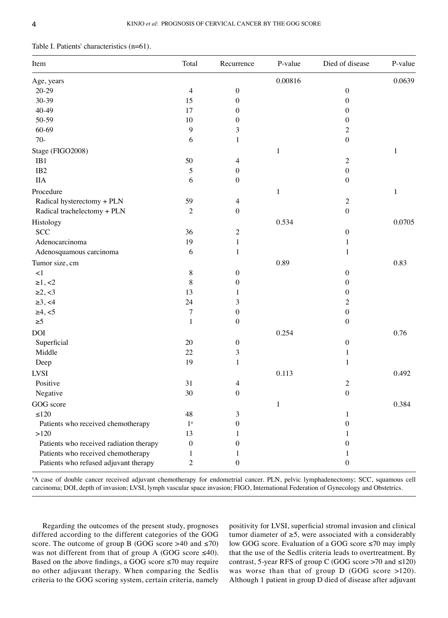|  |  |  | Table I. Patients' characteristics (n=61). |  |
|--|--|--|--------------------------------------------|--|
|--|--|--|--------------------------------------------|--|

| Item                                    | Total            | Recurrence       | P-value      | Died of disease  | P-value      |
|-----------------------------------------|------------------|------------------|--------------|------------------|--------------|
| Age, years                              |                  |                  | 0.00816      |                  | 0.0639       |
| $20 - 29$                               | 4                | $\boldsymbol{0}$ |              | $\boldsymbol{0}$ |              |
| 30-39                                   | 15               | $\boldsymbol{0}$ |              | $\boldsymbol{0}$ |              |
| 40-49                                   | 17               | $\boldsymbol{0}$ |              | $\boldsymbol{0}$ |              |
| 50-59                                   | 10               | $\boldsymbol{0}$ |              | $\boldsymbol{0}$ |              |
| 60-69                                   | 9                | 3                |              | $\overline{c}$   |              |
| $70-$                                   | 6                | $\mathbf{1}$     |              | $\boldsymbol{0}$ |              |
| Stage (FIGO2008)                        |                  |                  | $\mathbf{1}$ |                  | $\mathbf{1}$ |
| IB1                                     | 50               | 4                |              | $\mathfrak{2}$   |              |
| IB <sub>2</sub>                         | 5                | $\boldsymbol{0}$ |              | $\boldsymbol{0}$ |              |
| <b>IIA</b>                              | 6                | $\boldsymbol{0}$ |              | $\boldsymbol{0}$ |              |
| Procedure                               |                  |                  | $\mathbf{1}$ |                  | $\mathbf{1}$ |
| Radical hysterectomy + PLN              | 59               | $\overline{4}$   |              | $\sqrt{2}$       |              |
| Radical trachelectomy + PLN             | $\mathfrak{2}$   | $\boldsymbol{0}$ |              | $\boldsymbol{0}$ |              |
| Histology                               |                  |                  | 0.534        |                  | 0.0705       |
| <b>SCC</b>                              | 36               | $\overline{c}$   |              | $\boldsymbol{0}$ |              |
| Adenocarcinoma                          | 19               | $\,1$            |              | $\mathbf{1}$     |              |
| Adenosquamous carcinoma                 | 6                | 1                |              | 1                |              |
| Tumor size, cm                          |                  |                  | 0.89         |                  | 0.83         |
| $\leq$ 1                                | 8                | $\boldsymbol{0}$ |              | $\boldsymbol{0}$ |              |
| $\ge 1, < 2$                            | 8                | $\boldsymbol{0}$ |              | $\boldsymbol{0}$ |              |
| $\ge 2, <3$                             | 13               | 1                |              | $\boldsymbol{0}$ |              |
| $\ge 3, \le 4$                          | 24               | 3                |              | $\mathfrak{2}$   |              |
| $\geq 4, \leq 5$                        | 7                | $\boldsymbol{0}$ |              | $\boldsymbol{0}$ |              |
| $\geq 5$                                | $\mathbf{1}$     | $\boldsymbol{0}$ |              | $\boldsymbol{0}$ |              |
| DOI                                     |                  |                  | 0.254        |                  | 0.76         |
| Superficial                             | 20               | $\boldsymbol{0}$ |              | $\boldsymbol{0}$ |              |
| Middle                                  | 22               | $\mathfrak{Z}$   |              | 1                |              |
| Deep                                    | 19               | 1                |              | $\mathbf{1}$     |              |
| <b>LVSI</b>                             |                  |                  | 0.113        |                  | 0.492        |
| Positive                                | 31               | 4                |              | $\overline{c}$   |              |
| Negative                                | $30\,$           | $\theta$         |              | $\mathbf{0}$     |              |
| GOG score                               |                  |                  | 1            |                  | 0.384        |
| ${\leq}120$                             | 48               | 3                |              | 1                |              |
| Patients who received chemotherapy      | $1^{\mathrm{a}}$ | 0                |              | $\mathbf{0}$     |              |
| >120                                    | 13               |                  |              | 1                |              |
| Patients who received radiation therapy | $\boldsymbol{0}$ | 0                |              | $\boldsymbol{0}$ |              |
| Patients who received chemotherapy      | 1                |                  |              | 1                |              |
| Patients who refused adjuvant therapy   | 2                | $\boldsymbol{0}$ |              | $\boldsymbol{0}$ |              |

a A case of double cancer received adjuvant chemotherapy for endometrial cancer. PLN, pelvic lymphadenectomy; SCC, squamous cell carcinoma; DOI, depth of invasion; LVSI, lymph vascular space invasion; FIGO, International Federation of Gynecology and Obstetrics.

Regarding the outcomes of the present study, prognoses differed according to the different categories of the GOG score. The outcome of group B (GOG score >40 and  $\leq$ 70) was not different from that of group A (GOG score ≤40). Based on the above findings, a GOG score  $\leq$ 70 may require no other adjuvant therapy. When comparing the Sedlis criteria to the GOG scoring system, certain criteria, namely positivity for LVSI, superficial stromal invasion and clinical tumor diameter of  $\geq 5$ , were associated with a considerably low GOG score. Evaluation of a GOG score ≤70 may imply that the use of the Sedlis criteria leads to overtreatment. By contrast, 5-year RFS of group C (GOG score  $>70$  and  $\leq 120$ ) was worse than that of group D (GOG score >120). Although 1 patient in group D died of disease after adjuvant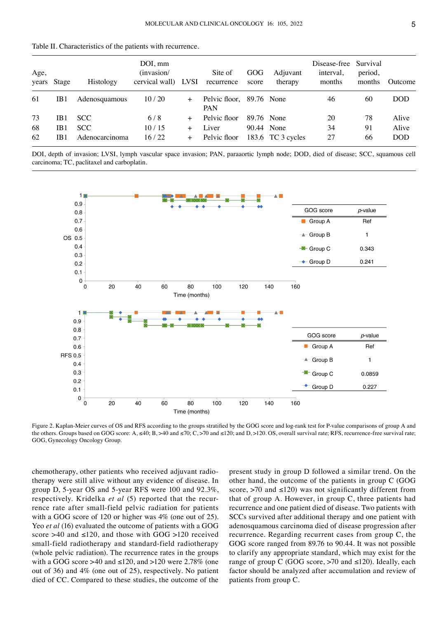| Age,     | years Stage            | Histology                    | $DOI, \,mm$<br>(invasion/<br>cervical wall) | LVSI          | Site of<br>recurrence                  | GOG<br>score | Adjuvant<br>therapy             | Disease-free Survival<br>interval.<br>months | period,<br>months | Outcome             |
|----------|------------------------|------------------------------|---------------------------------------------|---------------|----------------------------------------|--------------|---------------------------------|----------------------------------------------|-------------------|---------------------|
| 61       | IB <sub>1</sub>        | Adenosquamous                | 10/20                                       | $^{+}$        | Pelvic floor, 89.76 None<br><b>PAN</b> |              |                                 | 46                                           | 60                | <b>DOD</b>          |
| 73       | IB <sub>1</sub>        | SCC.                         | 6/8                                         | $+$           | Pelvic floor                           |              | 89.76 None                      | 20                                           | 78                | Alive               |
| 68<br>62 | IB1<br>IB <sub>1</sub> | <b>SCC</b><br>Adenocarcinoma | 10/15<br>16/22                              | $^{+}$<br>$+$ | Liver<br>Pelvic floor                  |              | 90.44 None<br>183.6 TC 3 cycles | 34<br>27                                     | 91<br>66          | Alive<br><b>DOD</b> |

Table II. Characteristics of the patients with recurrence.

DOI, depth of invasion; LVSI, lymph vascular space invasion; PAN, paraaortic lymph node; DOD, died of disease; SCC, squamous cell carcinoma; TC, paclitaxel and carboplatin.



Figure 2. Kaplan-Meier curves of OS and RFS according to the groups stratified by the GOG score and log-rank test for P-value comparisons of group A and the others. Groups based on GOG score:  $A, \leq 40$ ;  $B, > 40$  and  $\leq 70$ ; C,  $> 70$  and  $\leq 120$ ; and D,  $> 120$ . OS, overall survival rate; RFS, recurrence-free survival rate; GOG, Gynecology Oncology Group.

chemotherapy, other patients who received adjuvant radio‑ therapy were still alive without any evidence of disease. In group D, 5‑year OS and 5‑year RFS were 100 and 92.3%, respectively. Kridelka et al (5) reported that the recurrence rate after small-field pelvic radiation for patients with a GOG score of 120 or higher was 4% (one out of 25). Yeo *et al* (16) evaluated the outcome of patients with a GOG score >40 and  $\leq 120$ , and those with GOG >120 received small-field radiotherapy and standard-field radiotherapy (whole pelvic radiation). The recurrence rates in the groups with a GOG score >40 and  $\leq 120$ , and >120 were 2.78% (one out of 36) and 4% (one out of 25), respectively. No patient died of CC. Compared to these studies, the outcome of the present study in group D followed a similar trend. On the other hand, the outcome of the patients in group C (GOG score,  $>70$  and  $\leq 120$ ) was not significantly different from that of group A. However, in group C, three patients had recurrence and one patient died of disease. Two patients with SCCs survived after additional therapy and one patient with adenosquamous carcinoma died of disease progression after recurrence. Regarding recurrent cases from group C, the GOG score ranged from 89.76 to 90.44. It was not possible to clarify any appropriate standard, which may exist for the range of group C (GOG score,  $>70$  and  $\leq 120$ ). Ideally, each factor should be analyzed after accumulation and review of patients from group C.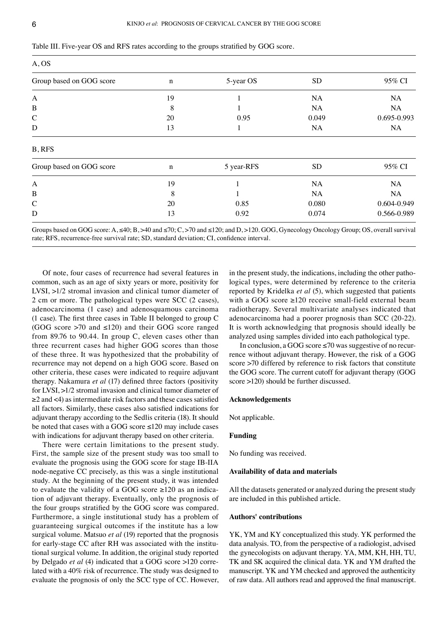| . . |    |
|-----|----|
|     |    |
|     |    |
| ×   | ۰. |

| Table III. Five-year OS and RFS rates according to the groups stratified by GOG score. |  |
|----------------------------------------------------------------------------------------|--|
|----------------------------------------------------------------------------------------|--|

|            | A, OS           |             |  |  |  |  |  |  |
|------------|-----------------|-------------|--|--|--|--|--|--|
| 5-year OS  | <b>SD</b>       | 95% CI      |  |  |  |  |  |  |
|            | NA              | <b>NA</b>   |  |  |  |  |  |  |
|            | <b>NA</b>       | <b>NA</b>   |  |  |  |  |  |  |
| 0.95       | 0.049           | 0.695-0.993 |  |  |  |  |  |  |
|            | NA              | NA          |  |  |  |  |  |  |
|            |                 |             |  |  |  |  |  |  |
| 5 year-RFS | SD <sub>.</sub> | 95% CI      |  |  |  |  |  |  |
|            | <b>NA</b>       | <b>NA</b>   |  |  |  |  |  |  |
|            | <b>NA</b>       | NA.         |  |  |  |  |  |  |
| 0.85       | 0.080           | 0.604-0.949 |  |  |  |  |  |  |
| 0.92       | 0.074           | 0.566-0.989 |  |  |  |  |  |  |
|            |                 |             |  |  |  |  |  |  |

Groups based on GOG score: A,  $\leq 40$ ; B, >40 and  $\leq 70$ ; C, >70 and  $\leq 120$ ; and D, >120. GOG, Gynecology Oncology Group; OS, overall survival rate; RFS, recurrence‑free survival rate; SD, standard deviation; CI, confidence interval.

Of note, four cases of recurrence had several features in common, such as an age of sixty years or more, positivity for LVSI, >1/2 stromal invasion and clinical tumor diameter of 2 cm or more. The pathological types were SCC (2 cases), adenocarcinoma (1 case) and adenosquamous carcinoma (1 case). The first three cases in Table II belonged to group C (GOG score  $>70$  and  $\leq 120$ ) and their GOG score ranged from 89.76 to 90.44. In group C, eleven cases other than three recurrent cases had higher GOG scores than those of these three. It was hypothesized that the probability of recurrence may not depend on a high GOG score. Based on other criteria, these cases were indicated to require adjuvant therapy. Nakamura *et al* (17) defined three factors (positivity for LVSI, >1/2 stromal invasion and clinical tumor diameter of ≥2 and <4) as intermediate risk factors and these cases satisfied all factors. Similarly, these cases also satisfied indications for adjuvant therapy according to the Sedlis criteria (18). It should be noted that cases with a GOG score ≤120 may include cases with indications for adjuvant therapy based on other criteria.

There were certain limitations to the present study. First, the sample size of the present study was too small to evaluate the prognosis using the GOG score for stage IB‑IIA node‑negative CC precisely, as this was a single institutional study. At the beginning of the present study, it was intended to evaluate the validity of a GOG score  $\geq 120$  as an indication of adjuvant therapy. Eventually, only the prognosis of the four groups stratified by the GOG score was compared. Furthermore, a single institutional study has a problem of guaranteeing surgical outcomes if the institute has a low surgical volume. Matsuo *et al* (19) reported that the prognosis for early-stage CC after RH was associated with the institutional surgical volume. In addition, the original study reported by Delgado *et al* (4) indicated that a GOG score >120 corre‑ lated with a 40% risk of recurrence. The study was designed to evaluate the prognosis of only the SCC type of CC. However, in the present study, the indications, including the other pathological types, were determined by reference to the criteria reported by Kridelka *et al* (5), which suggested that patients with a GOG score  $\geq 120$  receive small-field external beam radiotherapy. Several multivariate analyses indicated that adenocarcinoma had a poorer prognosis than SCC (20‑22). It is worth acknowledging that prognosis should ideally be analyzed using samples divided into each pathological type.

In conclusion, a GOG score  $\leq$ 70 was suggestive of no recurrence without adjuvant therapy. However, the risk of a GOG score >70 differed by reference to risk factors that constitute the GOG score. The current cutoff for adjuvant therapy (GOG score >120) should be further discussed.

#### **Acknowledgements**

Not applicable.

# **Funding**

No funding was received.

#### **Availability of data and materials**

All the datasets generated or analyzed during the present study are included in this published article.

## **Authors' contributions**

YK, YM and KY conceptualized this study. YK performed the data analysis. TO, from the perspective of a radiologist, advised the gynecologists on adjuvant therapy. YA, MM, KH, HH, TU, TK and SK acquired the clinical data. YK and YM drafted the manuscript. YK and YM checked and approved the authenticity of raw data. All authors read and approved the final manuscript.